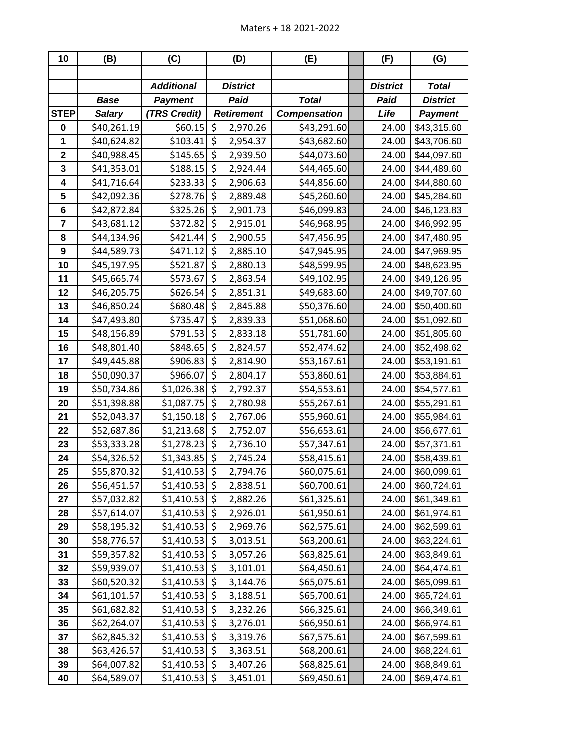| 10                      | (B)           | (C)               |                  | (D)               | (E)                 | (F)             | (G)             |
|-------------------------|---------------|-------------------|------------------|-------------------|---------------------|-----------------|-----------------|
|                         |               |                   |                  |                   |                     |                 |                 |
|                         |               | <b>Additional</b> | <b>District</b>  |                   |                     | <b>District</b> | <b>Total</b>    |
|                         | <b>Base</b>   | <b>Payment</b>    |                  | Paid              | <b>Total</b>        | Paid            | <b>District</b> |
| <b>STEP</b>             | <b>Salary</b> | (TRS Credit)      |                  | <b>Retirement</b> | <b>Compensation</b> | Life            | <b>Payment</b>  |
| 0                       | \$40,261.19   | \$60.15           | \$               | 2,970.26          | \$43,291.60         | 24.00           | \$43,315.60     |
| 1                       | \$40,624.82   | \$103.41          | \$               | 2,954.37          | \$43,682.60         | 24.00           | \$43,706.60     |
| $\mathbf 2$             | \$40,988.45   | \$145.65          | \$               | 2,939.50          | \$44,073.60         | 24.00           | \$44,097.60     |
| 3                       | \$41,353.01   | \$188.15          | \$               | 2,924.44          | \$44,465.60         | 24.00           | \$44,489.60     |
| 4                       | \$41,716.64   | \$233.33          | \$               | 2,906.63          | \$44,856.60         | 24.00           | \$44,880.60     |
| 5                       | \$42,092.36   | \$278.76          | $\zeta$          | 2,889.48          | \$45,260.60         | 24.00           | \$45,284.60     |
| 6                       | \$42,872.84   | \$325.26          | $\zeta$          | 2,901.73          | \$46,099.83         | 24.00           | \$46,123.83     |
| $\overline{\mathbf{r}}$ | \$43,681.12   | \$372.82          | \$               | 2,915.01          | \$46,968.95         | 24.00           | \$46,992.95     |
| 8                       | \$44,134.96   | \$421.44          | $\zeta$          | 2,900.55          | \$47,456.95         | 24.00           | \$47,480.95     |
| 9                       | \$44,589.73   | \$471.12          | $\zeta$          | 2,885.10          | \$47,945.95         | 24.00           | \$47,969.95     |
| 10                      | \$45,197.95   | \$521.87          | \$               | 2,880.13          | \$48,599.95         | 24.00           | \$48,623.95     |
| 11                      | \$45,665.74   | \$573.67          | \$               | 2,863.54          | \$49,102.95         | 24.00           | \$49,126.95     |
| 12                      | \$46,205.75   | \$626.54          | \$               | 2,851.31          | \$49,683.60         | 24.00           | \$49,707.60     |
| 13                      | \$46,850.24   | \$680.48          | $\overline{\xi}$ | 2,845.88          | \$50,376.60         | 24.00           | \$50,400.60     |
| 14                      | \$47,493.80   | \$735.47          | \$               | 2,839.33          | \$51,068.60         | 24.00           | \$51,092.60     |
| 15                      | \$48,156.89   | \$791.53          | \$               | 2,833.18          | \$51,781.60         | 24.00           | \$51,805.60     |
| 16                      | \$48,801.40   | \$848.65          | \$               | 2,824.57          | \$52,474.62         | 24.00           | \$52,498.62     |
| 17                      | \$49,445.88   | \$906.83          | \$               | 2,814.90          | \$53,167.61         | 24.00           | \$53,191.61     |
| 18                      | \$50,090.37   | \$966.07          | \$               | 2,804.17          | \$53,860.61         | 24.00           | \$53,884.61     |
| 19                      | \$50,734.86   | \$1,026.38        | $\zeta$          | 2,792.37          | \$54,553.61         | 24.00           | \$54,577.61     |
| 20                      | \$51,398.88   | \$1,087.75        | \$               | 2,780.98          | \$55,267.61         | 24.00           | \$55,291.61     |
| 21                      | \$52,043.37   | \$1,150.18        | $\zeta$          | 2,767.06          | \$55,960.61         | 24.00           | \$55,984.61     |
| 22                      | \$52,687.86   | \$1,213.68        | \$               | 2,752.07          | \$56,653.61         | 24.00           | \$56,677.61     |
| 23                      | \$53,333.28   | \$1,278.23        | \$               | 2,736.10          | \$57,347.61         | 24.00           | \$57,371.61     |
| 24                      | \$54,326.52   | \$1,343.85        | \$               | 2,745.24          | \$58,415.61         | 24.00           | \$58,439.61     |
| 25                      | \$55,870.32   | \$1,410.53        | $\overline{\xi}$ | 2,794.76          | \$60,075.61         | 24.00           | \$60,099.61     |
| 26                      | \$56,451.57   | \$1,410.53        | \$               | 2,838.51          | \$60,700.61         | 24.00           | \$60,724.61     |
| 27                      | \$57,032.82   | \$1,410.53        | \$               | 2,882.26          | \$61,325.61         | 24.00           | \$61,349.61     |
| 28                      | \$57,614.07   | \$1,410.53        | \$               | 2,926.01          | \$61,950.61         | 24.00           | \$61,974.61     |
| 29                      | \$58,195.32   | \$1,410.53        | \$               | 2,969.76          | \$62,575.61         | 24.00           | \$62,599.61     |
| 30                      | \$58,776.57   | \$1,410.53        | \$               | 3,013.51          | \$63,200.61         | 24.00           | \$63,224.61     |
| 31                      | \$59,357.82   | \$1,410.53        | \$               | 3,057.26          | \$63,825.61         | 24.00           | \$63,849.61     |
| 32                      | \$59,939.07   | \$1,410.53        | \$               | 3,101.01          | \$64,450.61         | 24.00           | \$64,474.61     |
| 33                      | \$60,520.32   | \$1,410.53        | \$               | 3,144.76          | \$65,075.61         | 24.00           | \$65,099.61     |
| 34                      | \$61,101.57   | \$1,410.53        | \$               | 3,188.51          | \$65,700.61         | 24.00           | \$65,724.61     |
| 35                      | \$61,682.82   | \$1,410.53        | \$               | 3,232.26          | \$66,325.61         | 24.00           | \$66,349.61     |
| 36                      | \$62,264.07   | \$1,410.53        | \$               | 3,276.01          | \$66,950.61         | 24.00           | \$66,974.61     |
| 37                      | \$62,845.32   | \$1,410.53        | \$               | 3,319.76          | \$67,575.61         | 24.00           | \$67,599.61     |
| 38                      | \$63,426.57   | \$1,410.53        | \$               | 3,363.51          | \$68,200.61         | 24.00           | \$68,224.61     |
| 39                      | \$64,007.82   | \$1,410.53        | \$               | 3,407.26          | \$68,825.61         | 24.00           | \$68,849.61     |
| 40                      | \$64,589.07   | \$1,410.53        | \$               | 3,451.01          | \$69,450.61         | 24.00           | \$69,474.61     |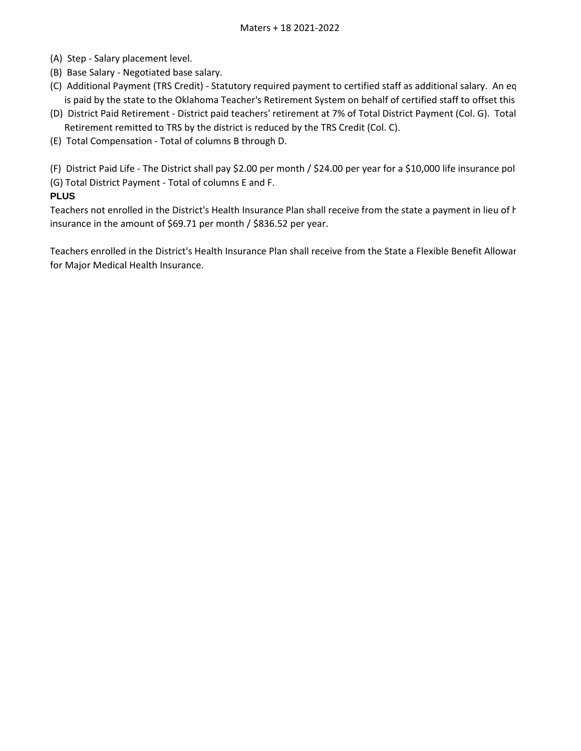- (A) Step Salary placement level.
- (B) Base Salary Negotiated base salary.
- (C) Additional Payment (TRS Credit) Statutory required payment to certified staff as additional salary. An eq is paid by the state to the Oklahoma Teacher's Retirement System on behalf of certified staff to offset this
- (D) District Paid Retirement District paid teachers' retirement at 7% of Total District Payment (Col. G). Total Retirement remitted to TRS by the district is reduced by the TRS Credit (Col. C).
- (E) Total Compensation Total of columns B through D.

(F) District Paid Life - The District shall pay \$2.00 per month / \$24.00 per year for a \$10,000 life insurance poli

(G) Total District Payment - Total of columns E and F.

## **PLUS**

Teachers not enrolled in the District's Health Insurance Plan shall receive from the state a payment in lieu of h insurance in the amount of \$69.71 per month / \$836.52 per year.

Teachers enrolled in the District's Health Insurance Plan shall receive from the State a Flexible Benefit Allowar for Major Medical Health Insurance.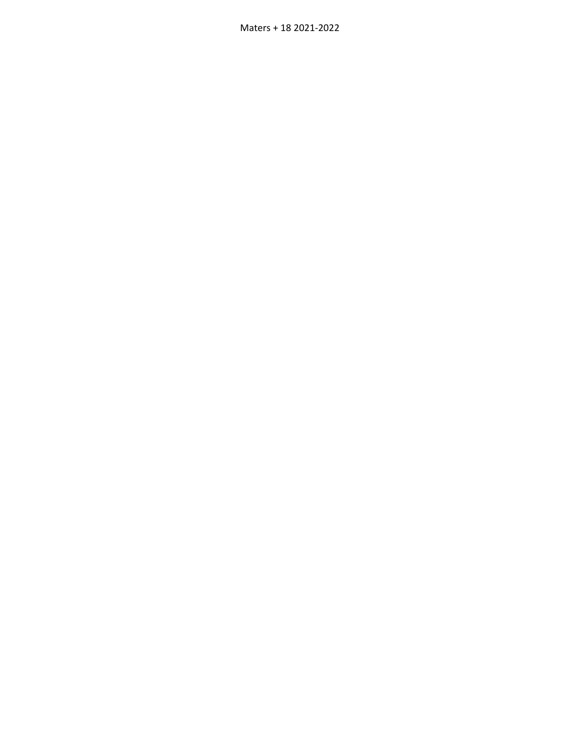Maters + 18 2021-2022